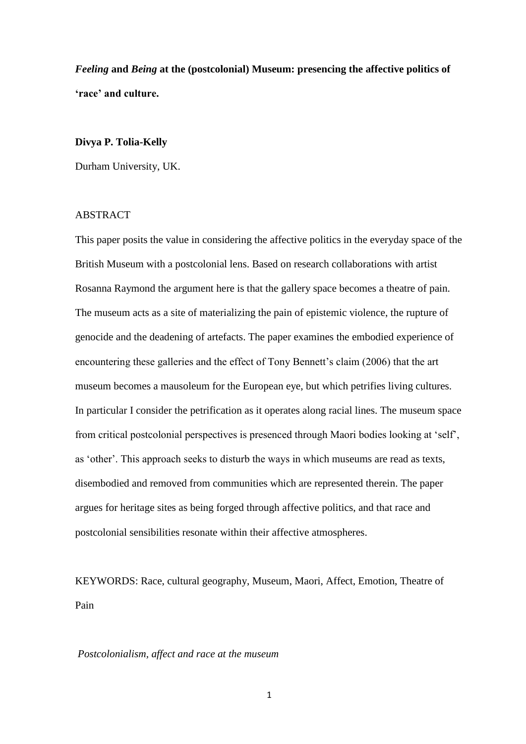*Feeling* **and** *Being* **at the (postcolonial) Museum: presencing the affective politics of 'race' and culture.**

# **Divya P. Tolia-Kelly**

Durham University, UK.

## ABSTRACT

This paper posits the value in considering the affective politics in the everyday space of the British Museum with a postcolonial lens. Based on research collaborations with artist Rosanna Raymond the argument here is that the gallery space becomes a theatre of pain. The museum acts as a site of materializing the pain of epistemic violence, the rupture of genocide and the deadening of artefacts. The paper examines the embodied experience of encountering these galleries and the effect of Tony Bennett's claim (2006) that the art museum becomes a mausoleum for the European eye, but which petrifies living cultures. In particular I consider the petrification as it operates along racial lines. The museum space from critical postcolonial perspectives is presenced through Maori bodies looking at 'self', as 'other'. This approach seeks to disturb the ways in which museums are read as texts, disembodied and removed from communities which are represented therein. The paper argues for heritage sites as being forged through affective politics, and that race and postcolonial sensibilities resonate within their affective atmospheres.

KEYWORDS: Race, cultural geography, Museum, Maori, Affect, Emotion, Theatre of Pain

### *Postcolonialism, affect and race at the museum*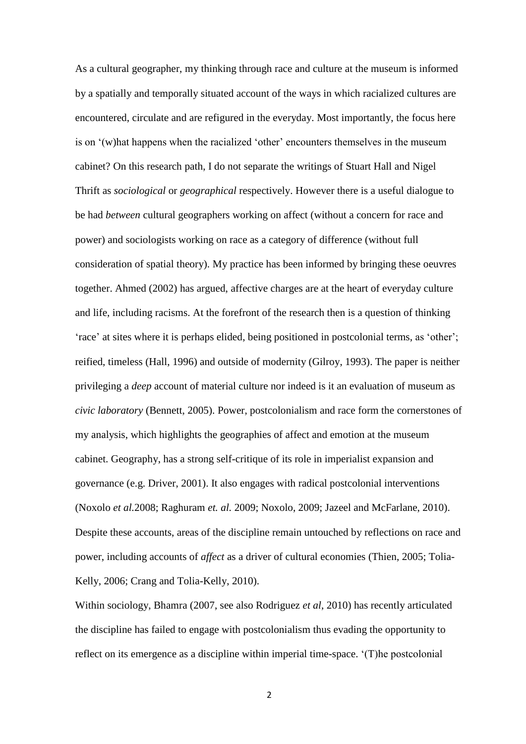As a cultural geographer, my thinking through race and culture at the museum is informed by a spatially and temporally situated account of the ways in which racialized cultures are encountered, circulate and are refigured in the everyday. Most importantly, the focus here is on '(w)hat happens when the racialized 'other' encounters themselves in the museum cabinet? On this research path, I do not separate the writings of Stuart Hall and Nigel Thrift as *sociological* or *geographical* respectively. However there is a useful dialogue to be had *between* cultural geographers working on affect (without a concern for race and power) and sociologists working on race as a category of difference (without full consideration of spatial theory). My practice has been informed by bringing these oeuvres together. Ahmed (2002) has argued, affective charges are at the heart of everyday culture and life, including racisms. At the forefront of the research then is a question of thinking 'race' at sites where it is perhaps elided, being positioned in postcolonial terms, as 'other'; reified, timeless (Hall, 1996) and outside of modernity (Gilroy, 1993). The paper is neither privileging a *deep* account of material culture nor indeed is it an evaluation of museum as *civic laboratory* (Bennett, 2005). Power, postcolonialism and race form the cornerstones of my analysis, which highlights the geographies of affect and emotion at the museum cabinet. Geography, has a strong self-critique of its role in imperialist expansion and governance (e.g. Driver, 2001). It also engages with radical postcolonial interventions (Noxolo *et al.*2008; Raghuram *et. al.* 2009; Noxolo, 2009; Jazeel and McFarlane, 2010). Despite these accounts, areas of the discipline remain untouched by reflections on race and power, including accounts of *affect* as a driver of cultural economies (Thien, 2005; Tolia-Kelly, 2006; Crang and Tolia-Kelly, 2010).

Within sociology, Bhamra (2007, see also Rodriguez *et al*, 2010) has recently articulated the discipline has failed to engage with postcolonialism thus evading the opportunity to reflect on its emergence as a discipline within imperial time-space. '(T)he postcolonial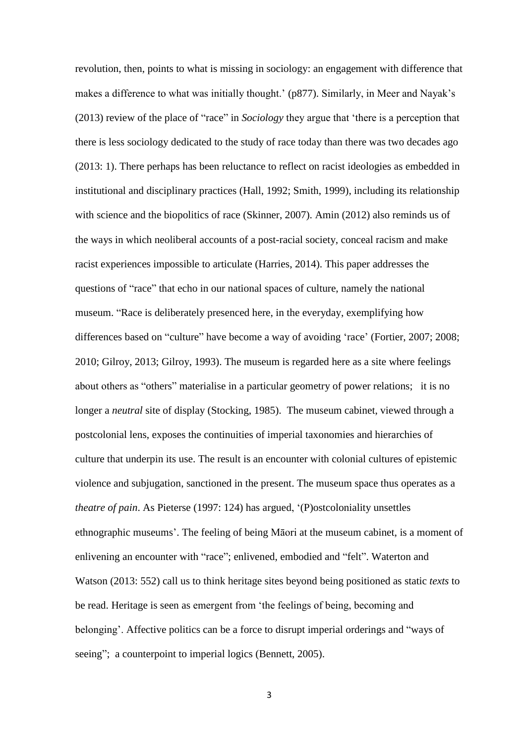revolution, then, points to what is missing in sociology: an engagement with difference that makes a difference to what was initially thought.' (p877). Similarly, in Meer and Nayak's (2013) review of the place of "race" in *Sociology* they argue that 'there is a perception that there is less sociology dedicated to the study of race today than there was two decades ago (2013: 1). There perhaps has been reluctance to reflect on racist ideologies as embedded in institutional and disciplinary practices (Hall, 1992; Smith, 1999), including its relationship with science and the biopolitics of race (Skinner, 2007). Amin (2012) also reminds us of the ways in which neoliberal accounts of a post-racial society, conceal racism and make racist experiences impossible to articulate (Harries, 2014). This paper addresses the questions of "race" that echo in our national spaces of culture, namely the national museum. "Race is deliberately presenced here, in the everyday, exemplifying how differences based on "culture" have become a way of avoiding 'race' (Fortier, 2007; 2008; 2010; Gilroy, 2013; Gilroy, 1993). The museum is regarded here as a site where feelings about others as "others" materialise in a particular geometry of power relations; it is no longer a *neutral* site of display (Stocking, 1985). The museum cabinet, viewed through a postcolonial lens, exposes the continuities of imperial taxonomies and hierarchies of culture that underpin its use. The result is an encounter with colonial cultures of epistemic violence and subjugation, sanctioned in the present. The museum space thus operates as a *theatre of pain*. As Pieterse (1997: 124) has argued, '(P)ostcoloniality unsettles ethnographic museums'. The feeling of being Māori at the museum cabinet, is a moment of enlivening an encounter with "race"; enlivened, embodied and "felt". Waterton and Watson (2013: 552) call us to think heritage sites beyond being positioned as static *texts* to be read. Heritage is seen as emergent from 'the feelings of being, becoming and belonging'. Affective politics can be a force to disrupt imperial orderings and "ways of seeing"; a counterpoint to imperial logics (Bennett, 2005).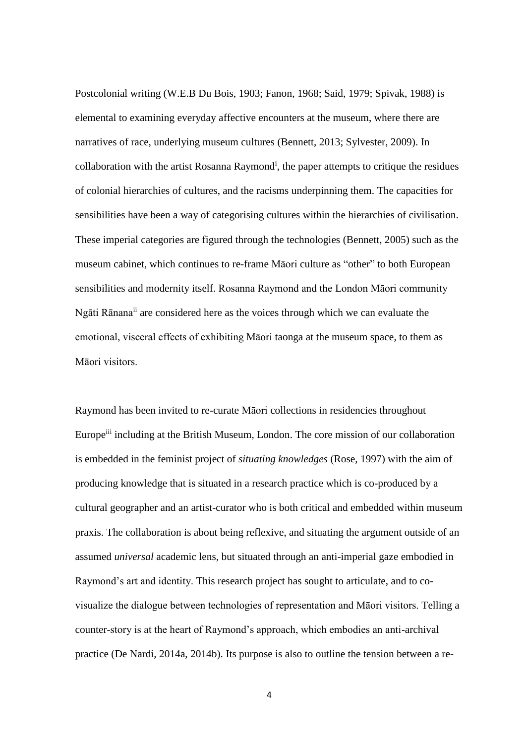Postcolonial writing (W.E.B Du Bois, 1903; Fanon, 1968; Said, 1979; Spivak, 1988) is elemental to examining everyday affective encounters at the museum, where there are narratives of race, underlying museum cultures (Bennett, 2013; Sylvester, 2009). In collaboration with the artist Rosanna Raymond<sup>i</sup>, the paper attempts to critique the residues of colonial hierarchies of cultures, and the racisms underpinning them. The capacities for sensibilities have been a way of categorising cultures within the hierarchies of civilisation. These imperial categories are figured through the technologies (Bennett, 2005) such as the museum cabinet, which continues to re-frame Māori culture as "other" to both European sensibilities and modernity itself. Rosanna Raymond and the London Māori community Ngāti Rānanaii are considered here as the voices through which we can evaluate the emotional, visceral effects of exhibiting Māori taonga at the museum space, to them as Māori visitors.

Raymond has been invited to re-curate Māori collections in residencies throughout Europe<sup>iii</sup> including at the British Museum, London. The core mission of our collaboration is embedded in the feminist project of *situating knowledges* (Rose, 1997) with the aim of producing knowledge that is situated in a research practice which is co-produced by a cultural geographer and an artist-curator who is both critical and embedded within museum praxis. The collaboration is about being reflexive, and situating the argument outside of an assumed *universal* academic lens, but situated through an anti-imperial gaze embodied in Raymond's art and identity. This research project has sought to articulate, and to covisualize the dialogue between technologies of representation and Māori visitors. Telling a counter-story is at the heart of Raymond's approach, which embodies an anti-archival practice (De Nardi, 2014a, 2014b). Its purpose is also to outline the tension between a re-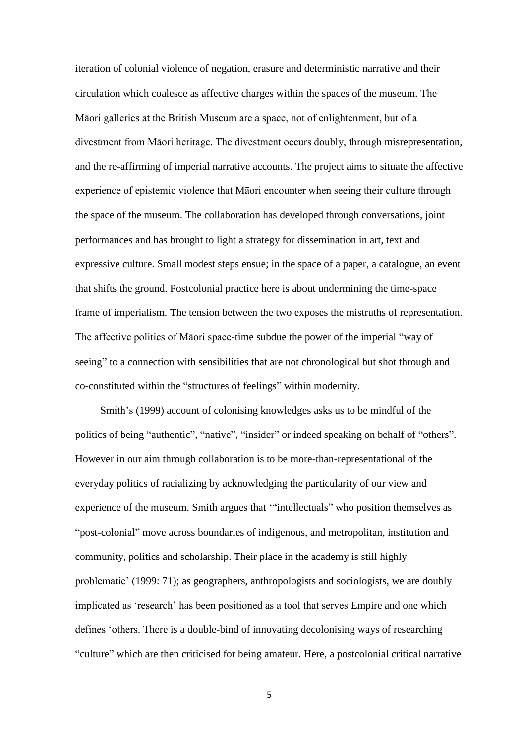iteration of colonial violence of negation, erasure and deterministic narrative and their circulation which coalesce as affective charges within the spaces of the museum. The Māori galleries at the British Museum are a space, not of enlightenment, but of a divestment from Māori heritage. The divestment occurs doubly, through misrepresentation, and the re-affirming of imperial narrative accounts. The project aims to situate the affective experience of epistemic violence that Māori encounter when seeing their culture through the space of the museum. The collaboration has developed through conversations, joint performances and has brought to light a strategy for dissemination in art, text and expressive culture. Small modest steps ensue; in the space of a paper, a catalogue, an event that shifts the ground. Postcolonial practice here is about undermining the time-space frame of imperialism. The tension between the two exposes the mistruths of representation. The affective politics of Māori space-time subdue the power of the imperial "way of seeing" to a connection with sensibilities that are not chronological but shot through and co-constituted within the "structures of feelings" within modernity.

Smith's (1999) account of colonising knowledges asks us to be mindful of the politics of being "authentic", "native", "insider" or indeed speaking on behalf of "others". However in our aim through collaboration is to be more-than-representational of the everyday politics of racializing by acknowledging the particularity of our view and experience of the museum. Smith argues that '"intellectuals" who position themselves as "post-colonial" move across boundaries of indigenous, and metropolitan, institution and community, politics and scholarship. Their place in the academy is still highly problematic' (1999: 71); as geographers, anthropologists and sociologists, we are doubly implicated as 'research' has been positioned as a tool that serves Empire and one which defines 'others. There is a double-bind of innovating decolonising ways of researching "culture" which are then criticised for being amateur. Here, a postcolonial critical narrative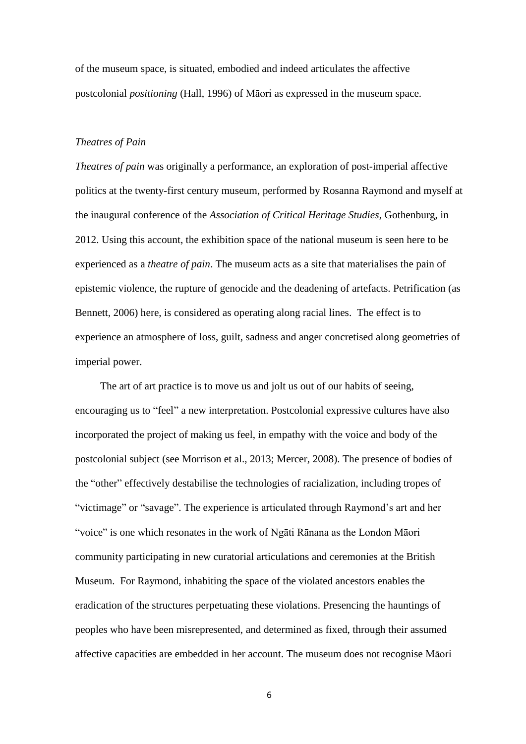of the museum space, is situated, embodied and indeed articulates the affective postcolonial *positioning* (Hall, 1996) of Māori as expressed in the museum space.

### *Theatres of Pain*

*Theatres of pain* was originally a performance, an exploration of post-imperial affective politics at the twenty-first century museum, performed by Rosanna Raymond and myself at the inaugural conference of the *Association of Critical Heritage Studies*, Gothenburg, in 2012. Using this account, the exhibition space of the national museum is seen here to be experienced as a *theatre of pain*. The museum acts as a site that materialises the pain of epistemic violence, the rupture of genocide and the deadening of artefacts. Petrification (as Bennett, 2006) here, is considered as operating along racial lines. The effect is to experience an atmosphere of loss, guilt, sadness and anger concretised along geometries of imperial power.

The art of art practice is to move us and jolt us out of our habits of seeing, encouraging us to "feel" a new interpretation. Postcolonial expressive cultures have also incorporated the project of making us feel, in empathy with the voice and body of the postcolonial subject (see Morrison et al., 2013; Mercer, 2008). The presence of bodies of the "other" effectively destabilise the technologies of racialization, including tropes of "victimage" or "savage". The experience is articulated through Raymond's art and her "voice" is one which resonates in the work of Ngāti Rānana as the London Māori community participating in new curatorial articulations and ceremonies at the British Museum. For Raymond, inhabiting the space of the violated ancestors enables the eradication of the structures perpetuating these violations. Presencing the hauntings of peoples who have been misrepresented, and determined as fixed, through their assumed affective capacities are embedded in her account. The museum does not recognise Māori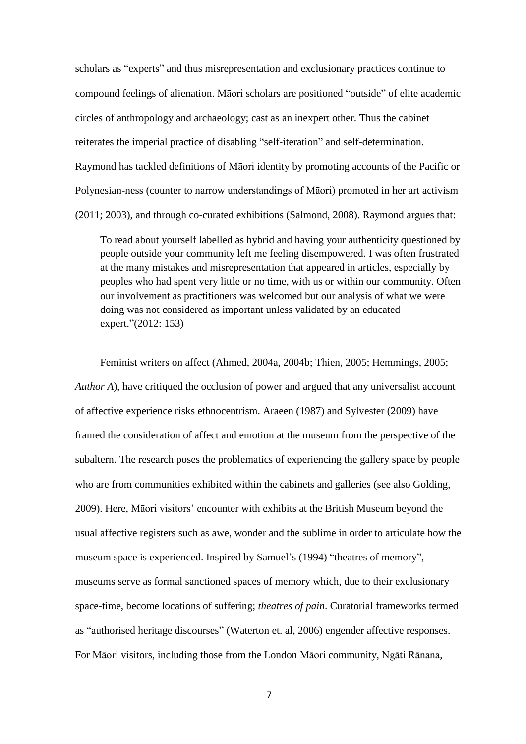scholars as "experts" and thus misrepresentation and exclusionary practices continue to compound feelings of alienation. Māori scholars are positioned "outside" of elite academic circles of anthropology and archaeology; cast as an inexpert other. Thus the cabinet reiterates the imperial practice of disabling "self-iteration" and self-determination. Raymond has tackled definitions of Māori identity by promoting accounts of the Pacific or Polynesian-ness (counter to narrow understandings of Māori) promoted in her art activism (2011; 2003), and through co-curated exhibitions (Salmond, 2008). Raymond argues that:

To read about yourself labelled as hybrid and having your authenticity questioned by people outside your community left me feeling disempowered. I was often frustrated at the many mistakes and misrepresentation that appeared in articles, especially by peoples who had spent very little or no time, with us or within our community. Often our involvement as practitioners was welcomed but our analysis of what we were doing was not considered as important unless validated by an educated expert."(2012: 153)

Feminist writers on affect (Ahmed, 2004a, 2004b; Thien, 2005; Hemmings, 2005; *Author A*), have critiqued the occlusion of power and argued that any universalist account of affective experience risks ethnocentrism. Araeen (1987) and Sylvester (2009) have framed the consideration of affect and emotion at the museum from the perspective of the subaltern. The research poses the problematics of experiencing the gallery space by people who are from communities exhibited within the cabinets and galleries (see also Golding, 2009). Here, Māori visitors' encounter with exhibits at the British Museum beyond the usual affective registers such as awe, wonder and the sublime in order to articulate how the museum space is experienced. Inspired by Samuel's (1994) "theatres of memory", museums serve as formal sanctioned spaces of memory which, due to their exclusionary space-time, become locations of suffering; *theatres of pain*. Curatorial frameworks termed as "authorised heritage discourses" (Waterton et. al, 2006) engender affective responses. For Māori visitors, including those from the London Māori community, Ngāti Rānana,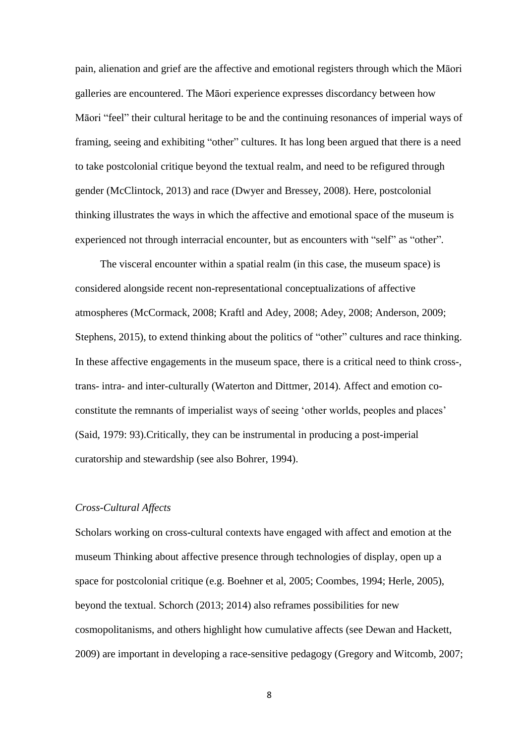pain, alienation and grief are the affective and emotional registers through which the Māori galleries are encountered. The Māori experience expresses discordancy between how Māori "feel" their cultural heritage to be and the continuing resonances of imperial ways of framing, seeing and exhibiting "other" cultures. It has long been argued that there is a need to take postcolonial critique beyond the textual realm, and need to be refigured through gender (McClintock, 2013) and race (Dwyer and Bressey, 2008). Here, postcolonial thinking illustrates the ways in which the affective and emotional space of the museum is experienced not through interracial encounter, but as encounters with "self" as "other"*.*

The visceral encounter within a spatial realm (in this case, the museum space) is considered alongside recent non-representational conceptualizations of affective atmospheres (McCormack, 2008; Kraftl and Adey, 2008; Adey, 2008; Anderson, 2009; Stephens, 2015), to extend thinking about the politics of "other" cultures and race thinking. In these affective engagements in the museum space, there is a critical need to think cross-, trans- intra- and inter-culturally (Waterton and Dittmer, 2014). Affect and emotion coconstitute the remnants of imperialist ways of seeing 'other worlds, peoples and places' (Said, 1979: 93).Critically, they can be instrumental in producing a post-imperial curatorship and stewardship (see also Bohrer, 1994).

## *Cross-Cultural Affects*

Scholars working on cross-cultural contexts have engaged with affect and emotion at the museum Thinking about affective presence through technologies of display, open up a space for postcolonial critique (e.g. Boehner et al, 2005; Coombes, 1994; Herle, 2005), beyond the textual. Schorch (2013; 2014) also reframes possibilities for new cosmopolitanisms, and others highlight how cumulative affects (see Dewan and Hackett, 2009) are important in developing a race-sensitive pedagogy (Gregory and Witcomb, 2007;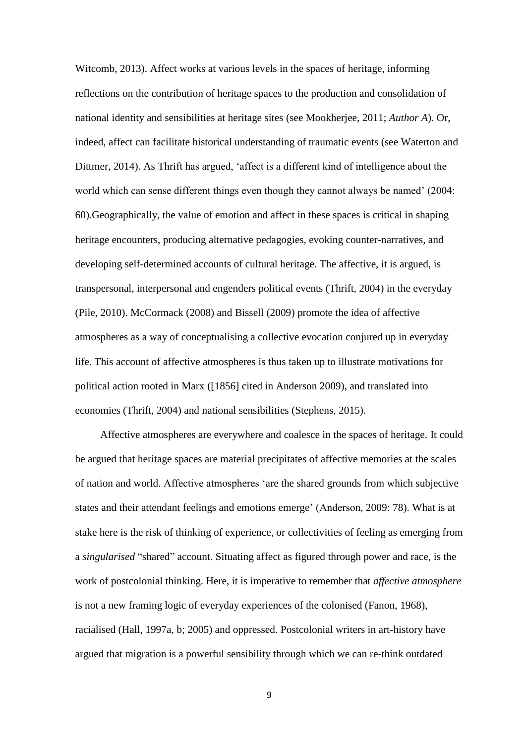Witcomb, 2013). Affect works at various levels in the spaces of heritage, informing reflections on the contribution of heritage spaces to the production and consolidation of national identity and sensibilities at heritage sites (see Mookherjee, 2011; *Author A*). Or, indeed, affect can facilitate historical understanding of traumatic events (see Waterton and Dittmer, 2014). As Thrift has argued, 'affect is a different kind of intelligence about the world which can sense different things even though they cannot always be named' (2004: 60).Geographically, the value of emotion and affect in these spaces is critical in shaping heritage encounters, producing alternative pedagogies, evoking counter-narratives, and developing self-determined accounts of cultural heritage. The affective, it is argued, is transpersonal, interpersonal and engenders political events (Thrift, 2004) in the everyday (Pile, 2010). McCormack (2008) and Bissell (2009) promote the idea of affective atmospheres as a way of conceptualising a collective evocation conjured up in everyday life. This account of affective atmospheres is thus taken up to illustrate motivations for political action rooted in Marx ([1856] cited in Anderson 2009), and translated into economies (Thrift, 2004) and national sensibilities (Stephens, 2015).

Affective atmospheres are everywhere and coalesce in the spaces of heritage. It could be argued that heritage spaces are material precipitates of affective memories at the scales of nation and world. Affective atmospheres 'are the shared grounds from which subjective states and their attendant feelings and emotions emerge' (Anderson, 2009: 78). What is at stake here is the risk of thinking of experience, or collectivities of feeling as emerging from a *singularised* "shared" account. Situating affect as figured through power and race, is the work of postcolonial thinking. Here, it is imperative to remember that *affective atmosphere* is not a new framing logic of everyday experiences of the colonised (Fanon, 1968), racialised (Hall, 1997a, b; 2005) and oppressed. Postcolonial writers in art-history have argued that migration is a powerful sensibility through which we can re-think outdated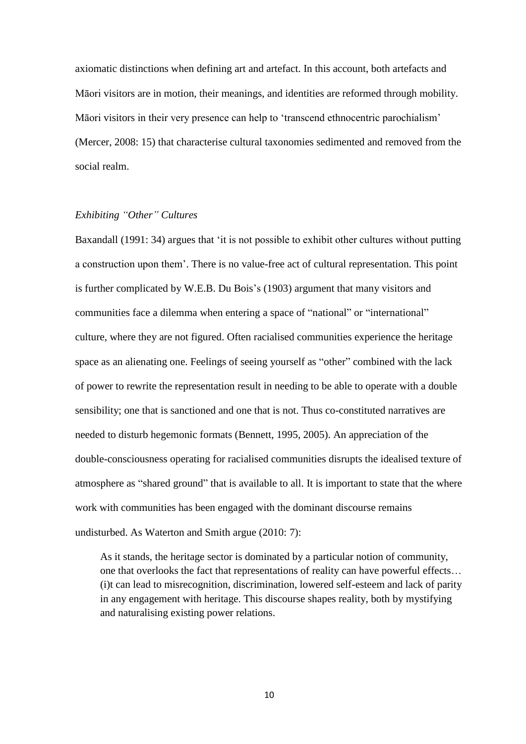axiomatic distinctions when defining art and artefact. In this account, both artefacts and Māori visitors are in motion, their meanings, and identities are reformed through mobility. Māori visitors in their very presence can help to 'transcend ethnocentric parochialism' (Mercer, 2008: 15) that characterise cultural taxonomies sedimented and removed from the social realm.

## *Exhibiting "Other" Cultures*

Baxandall (1991: 34) argues that 'it is not possible to exhibit other cultures without putting a construction upon them'. There is no value-free act of cultural representation. This point is further complicated by W.E.B. Du Bois's (1903) argument that many visitors and communities face a dilemma when entering a space of "national" or "international" culture, where they are not figured. Often racialised communities experience the heritage space as an alienating one. Feelings of seeing yourself as "other" combined with the lack of power to rewrite the representation result in needing to be able to operate with a double sensibility; one that is sanctioned and one that is not. Thus co-constituted narratives are needed to disturb hegemonic formats (Bennett, 1995, 2005). An appreciation of the double-consciousness operating for racialised communities disrupts the idealised texture of atmosphere as "shared ground" that is available to all. It is important to state that the where work with communities has been engaged with the dominant discourse remains undisturbed. As Waterton and Smith argue (2010: 7):

As it stands, the heritage sector is dominated by a particular notion of community, one that overlooks the fact that representations of reality can have powerful effects… (i)t can lead to misrecognition, discrimination, lowered self-esteem and lack of parity in any engagement with heritage. This discourse shapes reality, both by mystifying and naturalising existing power relations.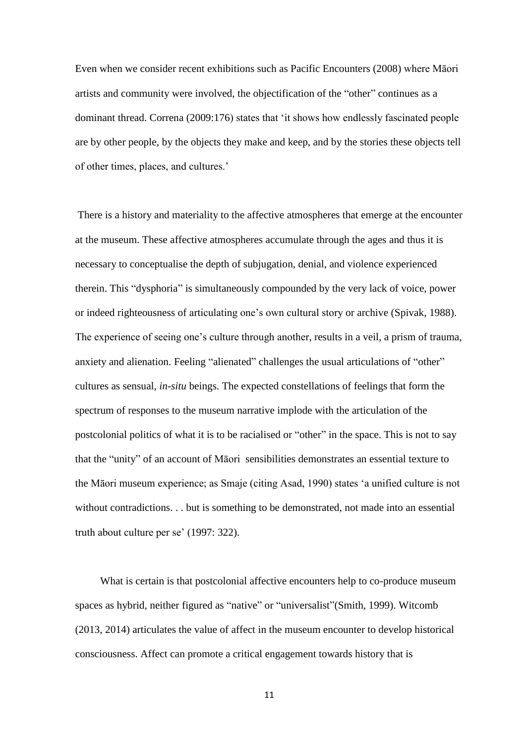Even when we consider recent exhibitions such as Pacific Encounters (2008) where Māori artists and community were involved, the objectification of the "other" continues as a dominant thread. Correna (2009:176) states that 'it shows how endlessly fascinated people are by other people, by the objects they make and keep, and by the stories these objects tell of other times, places, and cultures.'

There is a history and materiality to the affective atmospheres that emerge at the encounter at the museum. These affective atmospheres accumulate through the ages and thus it is necessary to conceptualise the depth of subjugation, denial, and violence experienced therein. This "dysphoria" is simultaneously compounded by the very lack of voice, power or indeed righteousness of articulating one's own cultural story or archive (Spivak, 1988). The experience of seeing one's culture through another, results in a veil, a prism of trauma, anxiety and alienation. Feeling "alienated" challenges the usual articulations of "other" cultures as sensual, *in-situ* beings. The expected constellations of feelings that form the spectrum of responses to the museum narrative implode with the articulation of the postcolonial politics of what it is to be racialised or "other" in the space. This is not to say that the "unity" of an account of Māori sensibilities demonstrates an essential texture to the Māori museum experience; as Smaje (citing Asad, 1990) states 'a unified culture is not without contradictions. . . but is something to be demonstrated, not made into an essential truth about culture per se' (1997: 322).

What is certain is that postcolonial affective encounters help to co-produce museum spaces as hybrid, neither figured as "native" or "universalist"(Smith, 1999). Witcomb (2013, 2014) articulates the value of affect in the museum encounter to develop historical consciousness. Affect can promote a critical engagement towards history that is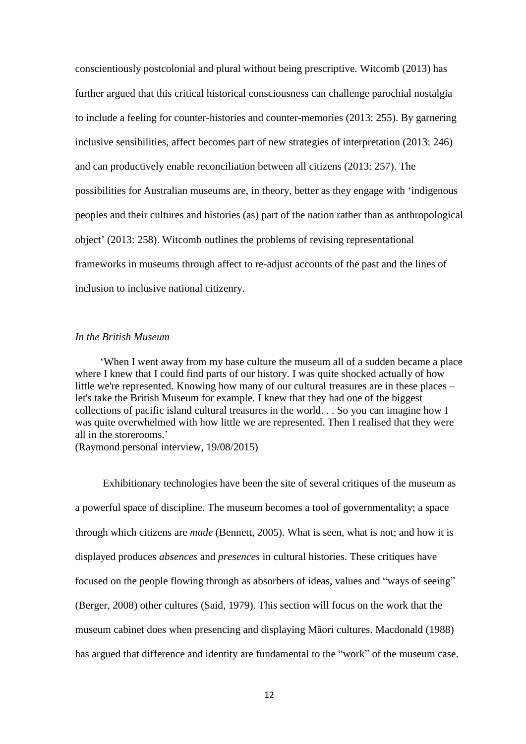conscientiously postcolonial and plural without being prescriptive. Witcomb (2013) has further argued that this critical historical consciousness can challenge parochial nostalgia to include a feeling for counter-histories and counter-memories (2013: 255). By garnering inclusive sensibilities, affect becomes part of new strategies of interpretation (2013: 246) and can productively enable reconciliation between all citizens (2013: 257). The possibilities for Australian museums are, in theory, better as they engage with 'indigenous peoples and their cultures and histories (as) part of the nation rather than as anthropological object' (2013: 258). Witcomb outlines the problems of revising representational frameworks in museums through affect to re-adjust accounts of the past and the lines of inclusion to inclusive national citizenry.

### *In the British Museum*

'When I went away from my base culture the museum all of a sudden became a place where I knew that I could find parts of our history. I was quite shocked actually of how little we're represented. Knowing how many of our cultural treasures are in these places – let's take the British Museum for example. I knew that they had one of the biggest collections of pacific island cultural treasures in the world. . . So you can imagine how I was quite overwhelmed with how little we are represented. Then I realised that they were all in the storerooms.'

(Raymond personal interview, 19/08/2015)

Exhibitionary technologies have been the site of several critiques of the museum as a powerful space of discipline. The museum becomes a tool of governmentality; a space through which citizens are *made* (Bennett, 2005). What is seen, what is not; and how it is displayed produces *absences* and *presences* in cultural histories. These critiques have focused on the people flowing through as absorbers of ideas, values and "ways of seeing" (Berger, 2008) other cultures (Said, 1979). This section will focus on the work that the museum cabinet does when presencing and displaying Māori cultures. Macdonald (1988) has argued that difference and identity are fundamental to the "work" of the museum case.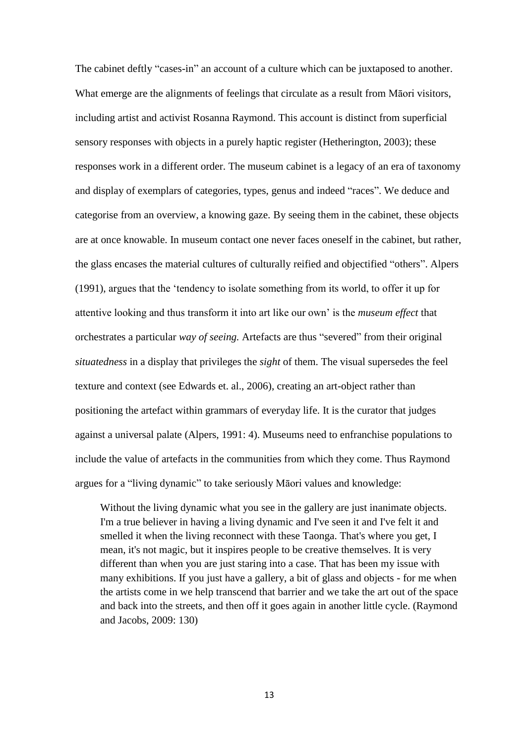The cabinet deftly "cases-in" an account of a culture which can be juxtaposed to another. What emerge are the alignments of feelings that circulate as a result from Māori visitors, including artist and activist Rosanna Raymond. This account is distinct from superficial sensory responses with objects in a purely haptic register (Hetherington, 2003); these responses work in a different order. The museum cabinet is a legacy of an era of taxonomy and display of exemplars of categories, types, genus and indeed "races". We deduce and categorise from an overview, a knowing gaze. By seeing them in the cabinet, these objects are at once knowable. In museum contact one never faces oneself in the cabinet, but rather, the glass encases the material cultures of culturally reified and objectified "others". Alpers (1991), argues that the 'tendency to isolate something from its world, to offer it up for attentive looking and thus transform it into art like our own' is the *museum effect* that orchestrates a particular *way of seeing.* Artefacts are thus "severed" from their original *situatedness* in a display that privileges the *sight* of them. The visual supersedes the feel texture and context (see Edwards et. al., 2006), creating an art-object rather than positioning the artefact within grammars of everyday life. It is the curator that judges against a universal palate (Alpers, 1991: 4). Museums need to enfranchise populations to include the value of artefacts in the communities from which they come. Thus Raymond argues for a "living dynamic" to take seriously Māori values and knowledge:

Without the living dynamic what you see in the gallery are just inanimate objects. I'm a true believer in having a living dynamic and I've seen it and I've felt it and smelled it when the living reconnect with these Taonga. That's where you get, I mean, it's not magic, but it inspires people to be creative themselves. It is very different than when you are just staring into a case. That has been my issue with many exhibitions. If you just have a gallery, a bit of glass and objects - for me when the artists come in we help transcend that barrier and we take the art out of the space and back into the streets, and then off it goes again in another little cycle. (Raymond and Jacobs, 2009: 130)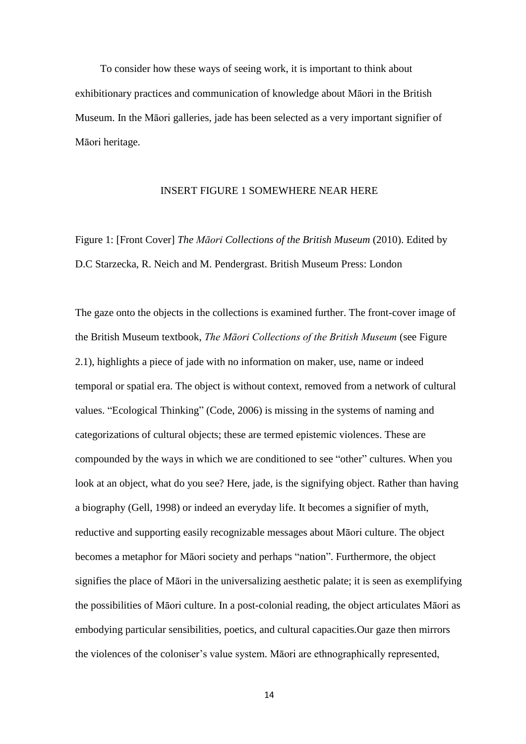To consider how these ways of seeing work, it is important to think about exhibitionary practices and communication of knowledge about Māori in the British Museum. In the Māori galleries, jade has been selected as a very important signifier of Māori heritage.

## INSERT FIGURE 1 SOMEWHERE NEAR HERE

Figure 1: [Front Cover] *The Māori Collections of the British Museum* (2010). Edited by D.C Starzecka, R. Neich and M. Pendergrast. British Museum Press: London

The gaze onto the objects in the collections is examined further. The front-cover image of the British Museum textbook, *The Māori Collections of the British Museum* (see Figure 2.1), highlights a piece of jade with no information on maker, use, name or indeed temporal or spatial era. The object is without context, removed from a network of cultural values. "Ecological Thinking" (Code, 2006) is missing in the systems of naming and categorizations of cultural objects; these are termed epistemic violences. These are compounded by the ways in which we are conditioned to see "other" cultures. When you look at an object, what do you see? Here, jade, is the signifying object. Rather than having a biography (Gell, 1998) or indeed an everyday life. It becomes a signifier of myth, reductive and supporting easily recognizable messages about Māori culture. The object becomes a metaphor for Māori society and perhaps "nation". Furthermore, the object signifies the place of Māori in the universalizing aesthetic palate; it is seen as exemplifying the possibilities of Māori culture. In a post-colonial reading, the object articulates Māori as embodying particular sensibilities, poetics, and cultural capacities.Our gaze then mirrors the violences of the coloniser's value system. Māori are ethnographically represented,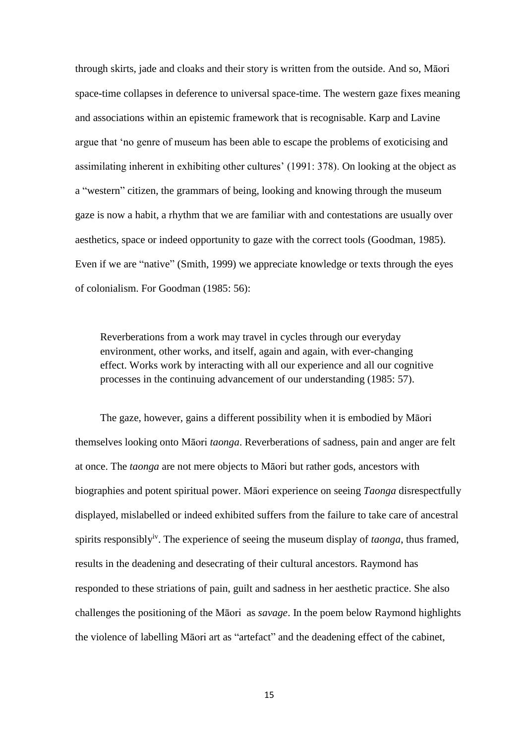through skirts, jade and cloaks and their story is written from the outside. And so, Māori space-time collapses in deference to universal space-time. The western gaze fixes meaning and associations within an epistemic framework that is recognisable. Karp and Lavine argue that 'no genre of museum has been able to escape the problems of exoticising and assimilating inherent in exhibiting other cultures' (1991: 378). On looking at the object as a "western" citizen, the grammars of being, looking and knowing through the museum gaze is now a habit, a rhythm that we are familiar with and contestations are usually over aesthetics, space or indeed opportunity to gaze with the correct tools (Goodman, 1985). Even if we are "native" (Smith, 1999) we appreciate knowledge or texts through the eyes of colonialism. For Goodman (1985: 56):

Reverberations from a work may travel in cycles through our everyday environment, other works, and itself, again and again, with ever-changing effect. Works work by interacting with all our experience and all our cognitive processes in the continuing advancement of our understanding (1985: 57).

The gaze, however, gains a different possibility when it is embodied by Māori themselves looking onto Māori *taonga*. Reverberations of sadness, pain and anger are felt at once. The *taonga* are not mere objects to Māori but rather gods, ancestors with biographies and potent spiritual power. Māori experience on seeing *Taonga* disrespectfully displayed, mislabelled or indeed exhibited suffers from the failure to take care of ancestral spirits responsibly<sup>iv</sup>. The experience of seeing the museum display of *taonga*, thus framed, results in the deadening and desecrating of their cultural ancestors. Raymond has responded to these striations of pain, guilt and sadness in her aesthetic practice. She also challenges the positioning of the Māori as *savage*. In the poem below Raymond highlights the violence of labelling Māori art as "artefact" and the deadening effect of the cabinet,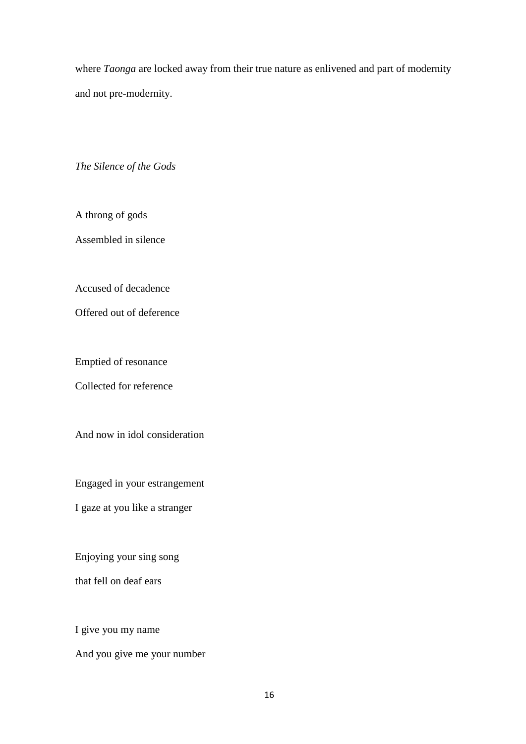where *Taonga* are locked away from their true nature as enlivened and part of modernity and not pre-modernity.

*The Silence of the Gods*

A throng of gods

Assembled in silence

Accused of decadence

Offered out of deference

Emptied of resonance

Collected for reference

And now in idol consideration

Engaged in your estrangement

I gaze at you like a stranger

Enjoying your sing song

that fell on deaf ears

I give you my name

And you give me your number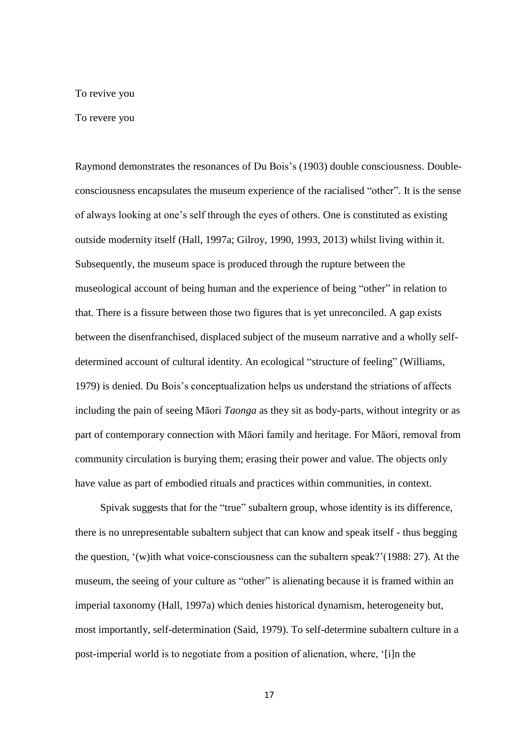#### To revive you

#### To revere you

Raymond demonstrates the resonances of Du Bois's (1903) double consciousness. Doubleconsciousness encapsulates the museum experience of the racialised "other". It is the sense of always looking at one's self through the eyes of others. One is constituted as existing outside modernity itself (Hall, 1997a; Gilroy, 1990, 1993, 2013) whilst living within it. Subsequently, the museum space is produced through the rupture between the museological account of being human and the experience of being "other" in relation to that. There is a fissure between those two figures that is yet unreconciled. A gap exists between the disenfranchised, displaced subject of the museum narrative and a wholly selfdetermined account of cultural identity. An ecological "structure of feeling" (Williams, 1979) is denied. Du Bois's conceptualization helps us understand the striations of affects including the pain of seeing Māori *Taonga* as they sit as body-parts, without integrity or as part of contemporary connection with Māori family and heritage. For Māori, removal from community circulation is burying them; erasing their power and value. The objects only have value as part of embodied rituals and practices within communities, in context.

Spivak suggests that for the "true" subaltern group, whose identity is its difference, there is no unrepresentable subaltern subject that can know and speak itself - thus begging the question, '(w)ith what voice-consciousness can the subaltern speak?'(1988: 27). At the museum, the seeing of your culture as "other" is alienating because it is framed within an imperial taxonomy (Hall, 1997a) which denies historical dynamism, heterogeneity but, most importantly, self-determination (Said, 1979). To self-determine subaltern culture in a post-imperial world is to negotiate from a position of alienation, where, '[i]n the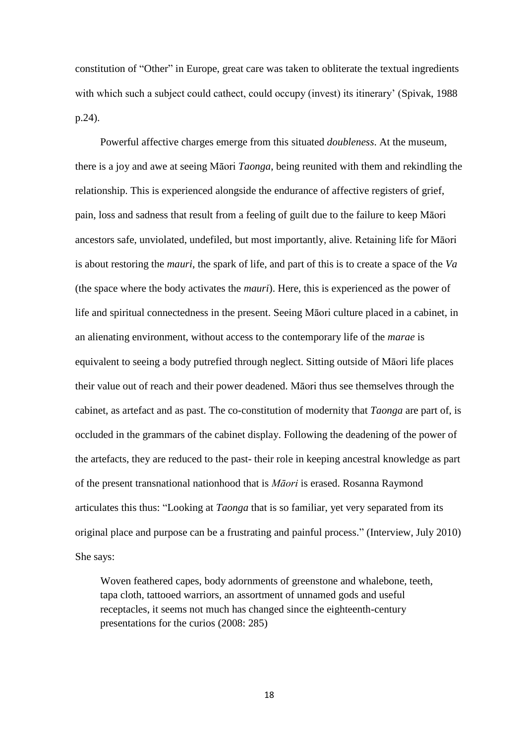constitution of "Other" in Europe, great care was taken to obliterate the textual ingredients with which such a subject could cathect, could occupy (invest) its itinerary' (Spivak, 1988 p.24).

Powerful affective charges emerge from this situated *doubleness*. At the museum, there is a joy and awe at seeing Māori *Taonga*, being reunited with them and rekindling the relationship. This is experienced alongside the endurance of affective registers of grief, pain, loss and sadness that result from a feeling of guilt due to the failure to keep Māori ancestors safe, unviolated, undefiled, but most importantly, alive. Retaining life for Māori is about restoring the *mauri*, the spark of life, and part of this is to create a space of the *Va* (the space where the body activates the *mauri*). Here, this is experienced as the power of life and spiritual connectedness in the present. Seeing Māori culture placed in a cabinet, in an alienating environment, without access to the contemporary life of the *marae* is equivalent to seeing a body putrefied through neglect. Sitting outside of Māori life places their value out of reach and their power deadened. Māori thus see themselves through the cabinet, as artefact and as past. The co-constitution of modernity that *Taonga* are part of, is occluded in the grammars of the cabinet display. Following the deadening of the power of the artefacts, they are reduced to the past- their role in keeping ancestral knowledge as part of the present transnational nationhood that is *Māori* is erased. Rosanna Raymond articulates this thus: "Looking at *Taonga* that is so familiar, yet very separated from its original place and purpose can be a frustrating and painful process." (Interview, July 2010) She says:

Woven feathered capes, body adornments of greenstone and whalebone, teeth, tapa cloth, tattooed warriors, an assortment of unnamed gods and useful receptacles, it seems not much has changed since the eighteenth-century presentations for the curios (2008: 285)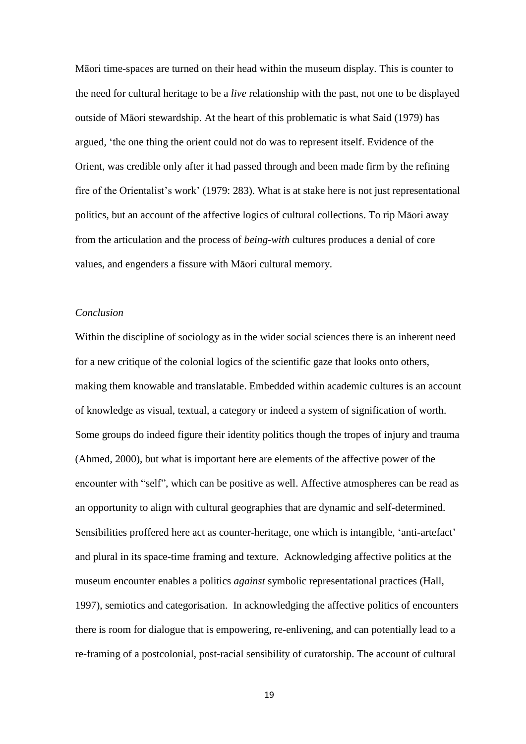Māori time-spaces are turned on their head within the museum display. This is counter to the need for cultural heritage to be a *live* relationship with the past, not one to be displayed outside of Māori stewardship. At the heart of this problematic is what Said (1979) has argued*,* 'the one thing the orient could not do was to represent itself. Evidence of the Orient, was credible only after it had passed through and been made firm by the refining fire of the Orientalist's work' (1979: 283). What is at stake here is not just representational politics, but an account of the affective logics of cultural collections. To rip Māori away from the articulation and the process of *being-with* cultures produces a denial of core values, and engenders a fissure with Māori cultural memory.

#### *Conclusion*

Within the discipline of sociology as in the wider social sciences there is an inherent need for a new critique of the colonial logics of the scientific gaze that looks onto others, making them knowable and translatable. Embedded within academic cultures is an account of knowledge as visual, textual, a category or indeed a system of signification of worth. Some groups do indeed figure their identity politics though the tropes of injury and trauma (Ahmed, 2000), but what is important here are elements of the affective power of the encounter with "self", which can be positive as well. Affective atmospheres can be read as an opportunity to align with cultural geographies that are dynamic and self-determined. Sensibilities proffered here act as counter-heritage, one which is intangible, 'anti-artefact' and plural in its space-time framing and texture. Acknowledging affective politics at the museum encounter enables a politics *against* symbolic representational practices (Hall, 1997), semiotics and categorisation. In acknowledging the affective politics of encounters there is room for dialogue that is empowering, re-enlivening, and can potentially lead to a re-framing of a postcolonial, post-racial sensibility of curatorship. The account of cultural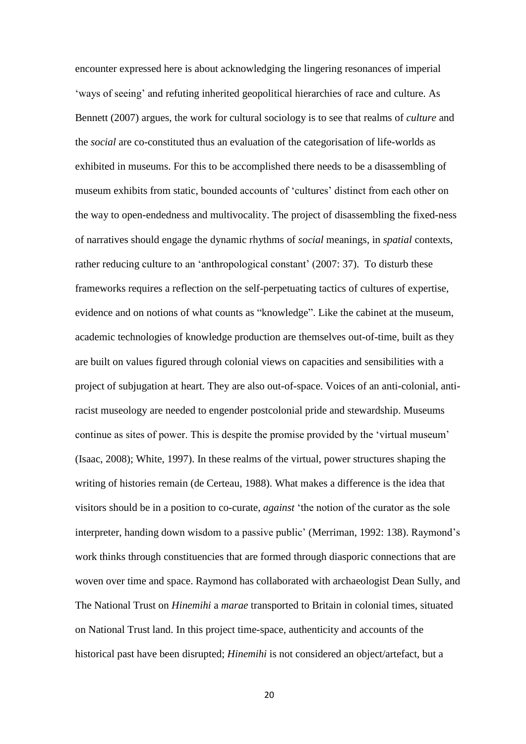encounter expressed here is about acknowledging the lingering resonances of imperial 'ways of seeing' and refuting inherited geopolitical hierarchies of race and culture. As Bennett (2007) argues, the work for cultural sociology is to see that realms of *culture* and the *social* are co-constituted thus an evaluation of the categorisation of life-worlds as exhibited in museums. For this to be accomplished there needs to be a disassembling of museum exhibits from static, bounded accounts of 'cultures' distinct from each other on the way to open-endedness and multivocality. The project of disassembling the fixed-ness of narratives should engage the dynamic rhythms of *social* meanings, in *spatial* contexts, rather reducing culture to an 'anthropological constant' (2007: 37). To disturb these frameworks requires a reflection on the self-perpetuating tactics of cultures of expertise, evidence and on notions of what counts as "knowledge". Like the cabinet at the museum, academic technologies of knowledge production are themselves out-of-time, built as they are built on values figured through colonial views on capacities and sensibilities with a project of subjugation at heart. They are also out-of-space. Voices of an anti-colonial, antiracist museology are needed to engender postcolonial pride and stewardship. Museums continue as sites of power. This is despite the promise provided by the 'virtual museum' (Isaac, 2008); White, 1997). In these realms of the virtual, power structures shaping the writing of histories remain (de Certeau, 1988). What makes a difference is the idea that visitors should be in a position to co-curate, *against* 'the notion of the curator as the sole interpreter, handing down wisdom to a passive public' (Merriman, 1992: 138). Raymond's work thinks through constituencies that are formed through diasporic connections that are woven over time and space. Raymond has collaborated with archaeologist Dean Sully, and The National Trust on *Hinemihi* a *marae* transported to Britain in colonial times, situated on National Trust land. In this project time-space, authenticity and accounts of the historical past have been disrupted; *Hinemihi* is not considered an object/artefact, but a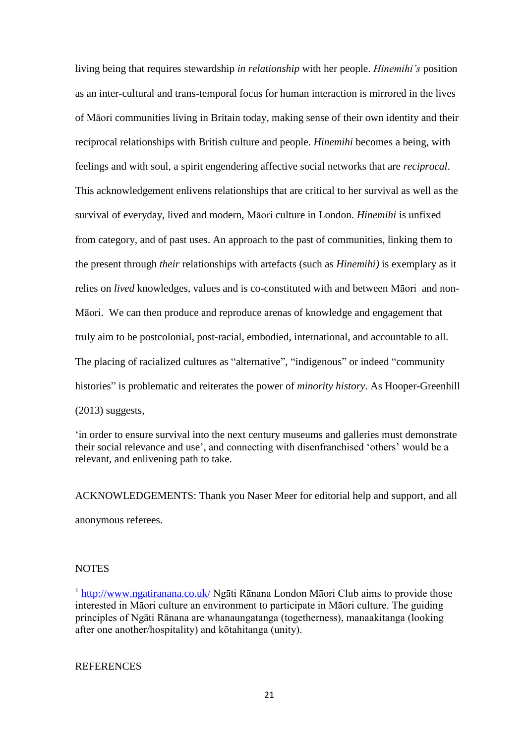living being that requires stewardship *in relationship* with her people. *Hinemihi's* position as an inter-cultural and trans-temporal focus for human interaction is mirrored in the lives of Māori communities living in Britain today, making sense of their own identity and their reciprocal relationships with British culture and people. *Hinemihi* becomes a being, with feelings and with soul, a spirit engendering affective social networks that are *reciprocal*. This acknowledgement enlivens relationships that are critical to her survival as well as the survival of everyday, lived and modern, Māori culture in London. *Hinemihi* is unfixed from category, and of past uses. An approach to the past of communities, linking them to the present through *their* relationships with artefacts (such as *Hinemihi)* is exemplary as it relies on *lived* knowledges, values and is co-constituted with and between Māori and non-Māori. We can then produce and reproduce arenas of knowledge and engagement that truly aim to be postcolonial, post-racial, embodied, international, and accountable to all. The placing of racialized cultures as "alternative", "indigenous" or indeed "community histories" is problematic and reiterates the power of *minority history*. As Hooper-Greenhill (2013) suggests,

'in order to ensure survival into the next century museums and galleries must demonstrate their social relevance and use', and connecting with disenfranchised 'others' would be a relevant, and enlivening path to take.

ACKNOWLEDGEMENTS: Thank you Naser Meer for editorial help and support, and all anonymous referees.

# **NOTES**

<sup>1</sup> <http://www.ngatiranana.co.uk/> Ngāti Rānana London Māori Club aims to provide those interested in Māori culture an environment to participate in Māori culture. The guiding principles of Ngāti Rānana are whanaungatanga (togetherness), manaakitanga (looking after one another/hospitality) and kōtahitanga (unity).

# **REFERENCES**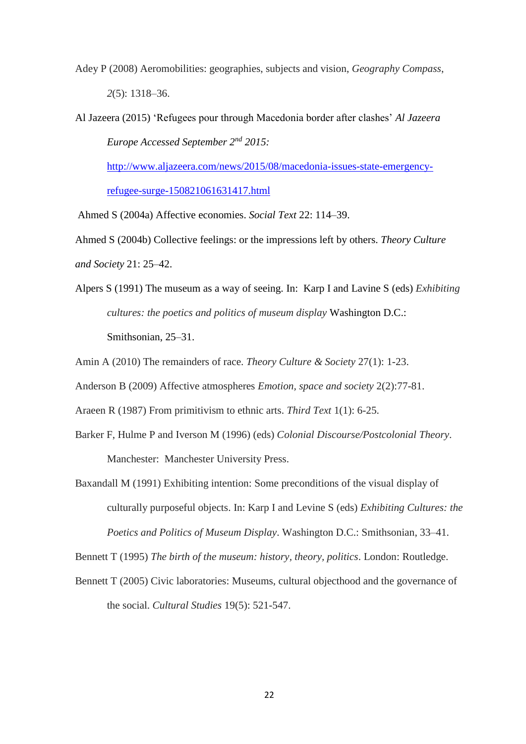Adey P (2008) Aeromobilities: geographies, subjects and vision, *Geography Compass*, *2*(5): 1318–36.

Al Jazeera (2015) 'Refugees pour through Macedonia border after clashes' *Al Jazeera Europe Accessed September 2nd 2015:* 

[http://www.aljazeera.com/news/2015/08/macedonia-issues-state-emergency](http://www.aljazeera.com/news/2015/08/macedonia-issues-state-emergency-refugee-surge-150821061631417.html)[refugee-surge-150821061631417.html](http://www.aljazeera.com/news/2015/08/macedonia-issues-state-emergency-refugee-surge-150821061631417.html)

Ahmed S (2004a) Affective economies. *Social Text* 22: 114–39.

Ahmed S (2004b) Collective feelings: or the impressions left by others. *Theory Culture and Society* 21: 25–42.

Alpers S (1991) The museum as a way of seeing. In: Karp I and Lavine S (eds) *Exhibiting cultures: the poetics and politics of museum display* Washington D.C.: Smithsonian, 25–31.

Amin A (2010) The remainders of race. *Theory Culture & Society* 27(1): 1-23.

Anderson B (2009) Affective atmospheres *Emotion, space and society* 2(2):77-81.

Araeen R (1987) From primitivism to ethnic arts. *Third Text* 1(1): 6-25.

- Barker F, Hulme P and Iverson M (1996) (eds) *Colonial Discourse/Postcolonial Theory*. Manchester: Manchester University Press.
- Baxandall M (1991) Exhibiting intention: Some preconditions of the visual display of culturally purposeful objects. In: Karp I and Levine S (eds) *Exhibiting Cultures: the Poetics and Politics of Museum Display*. Washington D.C.: Smithsonian, 33–41.

Bennett T (1995) *The birth of the museum: history, theory, politics*. London: Routledge.

Bennett T (2005) Civic laboratories: Museums, cultural objecthood and the governance of the social. *Cultural Studies* 19(5): 521-547.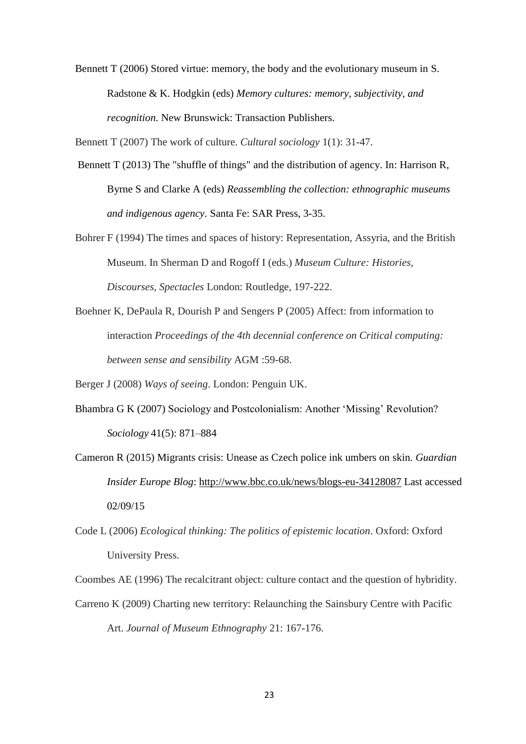Bennett T (2006) Stored virtue: memory, the body and the evolutionary museum in S. Radstone & K. Hodgkin (eds) *Memory cultures: memory, subjectivity, and recognition.* New Brunswick: Transaction Publishers.

Bennett T (2007) The work of culture. *Cultural sociology* 1(1): 31-47.

- Bennett T (2013) The "shuffle of things" and the distribution of agency. In: Harrison R, Byrne S and Clarke A (eds) *Reassembling the collection: ethnographic museums and indigenous agency*. Santa Fe: SAR Press, 3-35.
- Bohrer F (1994) The times and spaces of history: Representation, Assyria, and the British Museum. In Sherman D and Rogoff I (eds.) *Museum Culture: Histories, Discourses, Spectacles* London: Routledge, 197-222.
- Boehner K, DePaula R, Dourish P and Sengers P (2005) Affect: from information to interaction *Proceedings of the 4th decennial conference on Critical computing: between sense and sensibility* AGM :59-68.

Berger J (2008) *Ways of seeing*. London: Penguin UK.

- Bhambra G K (2007) Sociology and Postcolonialism: Another 'Missing' Revolution? *Sociology* 41(5): 871–884
- Cameron R (2015) Migrants crisis: Unease as Czech police ink umbers on skin. *Guardian Insider Europe Blog*:<http://www.bbc.co.uk/news/blogs-eu-34128087> Last accessed 02/09/15
- Code L (2006) *Ecological thinking: The politics of epistemic location*. Oxford: Oxford University Press.

Coombes AE (1996) The recalcitrant object: culture contact and the question of hybridity.

Carreno K (2009) Charting new territory: Relaunching the Sainsbury Centre with Pacific Art. *Journal of Museum Ethnography* 21: 167-176.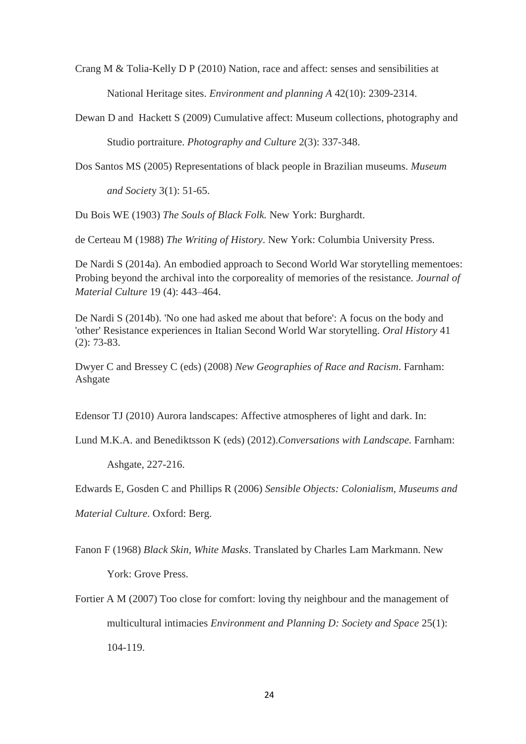Crang M & Tolia-Kelly D P (2010) Nation, race and affect: senses and sensibilities at National Heritage sites. *Environment and planning A* 42(10): 2309-2314.

Dewan D and Hackett S (2009) Cumulative affect: Museum collections, photography and Studio portraiture. *Photography and Culture* 2(3): 337-348.

Dos Santos MS (2005) Representations of black people in Brazilian museums. *Museum* 

*and Societ*y 3(1): 51-65.

Du Bois WE (1903) *The Souls of Black Folk.* New York: Burghardt.

de Certeau M (1988) *The Writing of History*. New York: Columbia University Press.

De Nardi S (2014a). An embodied approach to Second World War storytelling mementoes: Probing beyond the archival into the corporeality of memories of the resistance. *Journal of Material Culture* 19 (4): 443–464.

De Nardi S (2014b). 'No one had asked me about that before': A focus on the body and 'other' Resistance experiences in Italian Second World War storytelling. *Oral History* 41 (2): 73-83.

Dwyer C and Bressey C (eds) (2008) *New Geographies of Race and Racism*. Farnham: Ashgate

Edensor TJ (2010) Aurora landscapes: Affective atmospheres of light and dark. In:

Lund M.K.A. and Benediktsson K (eds) (2012).*Conversations with Landscape.* Farnham:

Ashgate, 227-216.

Edwards E, Gosden C and Phillips R (2006) *Sensible Objects: Colonialism, Museums and* 

*Material Culture*. Oxford: Berg.

Fanon F (1968) *Black Skin, White Masks*. Translated by Charles Lam Markmann. New York: Grove Press.

Fortier A M (2007) Too close for comfort: loving thy neighbour and the management of multicultural intimacies *Environment and Planning D: Society and Space* 25(1): 104-119.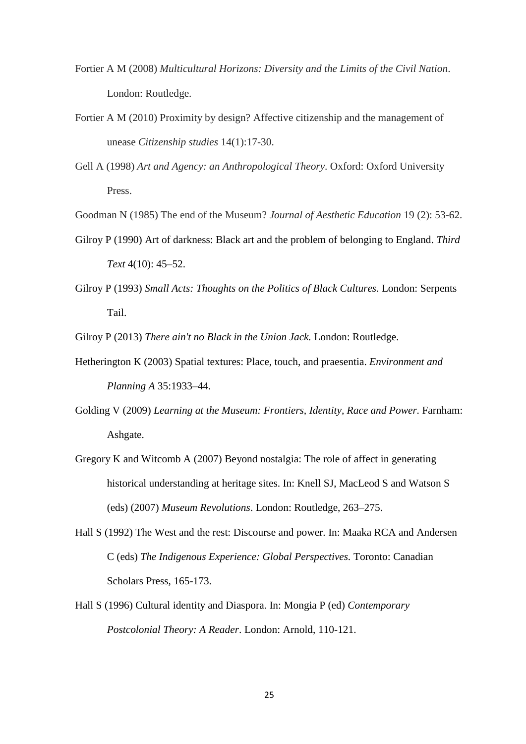- Fortier A M (2008) *Multicultural Horizons: Diversity and the Limits of the Civil Nation*. London: Routledge.
- Fortier A M (2010) Proximity by design? Affective citizenship and the management of unease *Citizenship studies* 14(1):17-30.
- Gell A (1998) *Art and Agency: an Anthropological Theory*. Oxford: Oxford University Press.

Goodman N (1985) The end of the Museum? *Journal of Aesthetic Education* 19 (2): 53-62.

- Gilroy P (1990) Art of darkness: Black art and the problem of belonging to England. *Third Text* 4(10): 45–52.
- Gilroy P (1993) *Small Acts: Thoughts on the Politics of Black Cultures.* London: Serpents Tail.

Gilroy P (2013) *There ain't no Black in the Union Jack.* London: Routledge.

- Hetherington K (2003) Spatial textures: Place, touch, and praesentia. *Environment and Planning A* 35:1933–44.
- Golding V (2009) *Learning at the Museum: Frontiers, Identity, Race and Power.* Farnham: Ashgate.
- Gregory K and Witcomb A (2007) Beyond nostalgia: The role of affect in generating historical understanding at heritage sites. In: Knell SJ, MacLeod S and Watson S (eds) (2007) *Museum Revolutions*. London: Routledge, 263–275.
- Hall S (1992) The West and the rest: Discourse and power. In: Maaka RCA and Andersen C (eds) *The Indigenous Experience: Global Perspectives.* Toronto: Canadian Scholars Press, 165-173.
- Hall S (1996) Cultural identity and Diaspora. In: Mongia P (ed) *Contemporary Postcolonial Theory: A Reader*. London: Arnold, 110-121.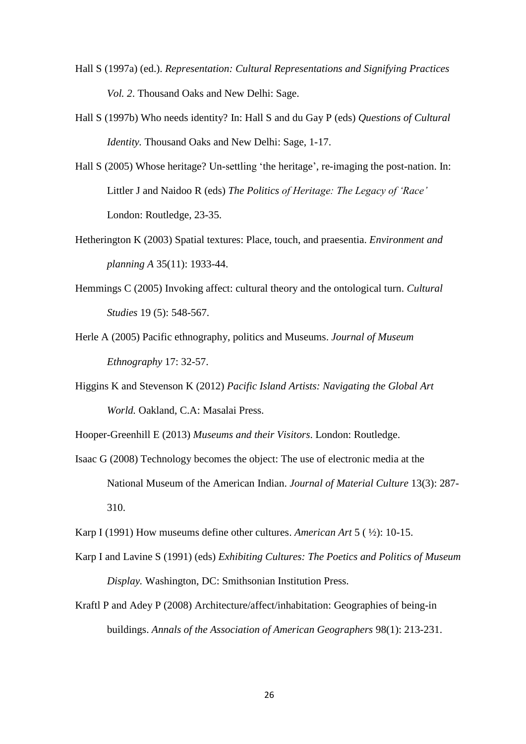- Hall S (1997a) (ed.). *Representation: Cultural Representations and Signifying Practices Vol. 2*. Thousand Oaks and New Delhi: Sage.
- Hall S (1997b) Who needs identity? In: Hall S and du Gay P (eds) *Questions of Cultural Identity.* Thousand Oaks and New Delhi: Sage, 1-17.
- Hall S (2005) Whose heritage? Un-settling 'the heritage', re-imaging the post-nation. In: Littler J and Naidoo R (eds) *The Politics of Heritage: The Legacy of 'Race'* London: Routledge, 23-35.
- Hetherington K (2003) Spatial textures: Place, touch, and praesentia. *Environment and planning A* 35(11): 1933-44.
- Hemmings C (2005) [Invoking affect: cultural theory and the ontological turn.](http://eprints.lse.ac.uk/15188/) *Cultural Studies* 19 (5): 548-567.
- Herle A (2005) Pacific ethnography, politics and Museums. *Journal of Museum Ethnography* 17: 32-57.
- Higgins K and Stevenson K (2012) *Pacific Island Artists: Navigating the Global Art World.* Oakland, C.A: Masalai Press.
- Hooper-Greenhill E (2013) *Museums and their Visitors*. London: Routledge.
- Isaac G (2008) Technology becomes the object: The use of electronic media at the National Museum of the American Indian. *Journal of Material Culture* 13(3): 287- 310.
- Karp I (1991) How museums define other cultures. *American Art* 5 ( ½): 10-15.
- Karp I and Lavine S (1991) (eds) *Exhibiting Cultures: The Poetics and Politics of Museum Display.* Washington, DC: Smithsonian Institution Press.
- Kraftl P and Adey P (2008) Architecture/affect/inhabitation: Geographies of being-in buildings. *Annals of the Association of American Geographers* 98(1): 213-231.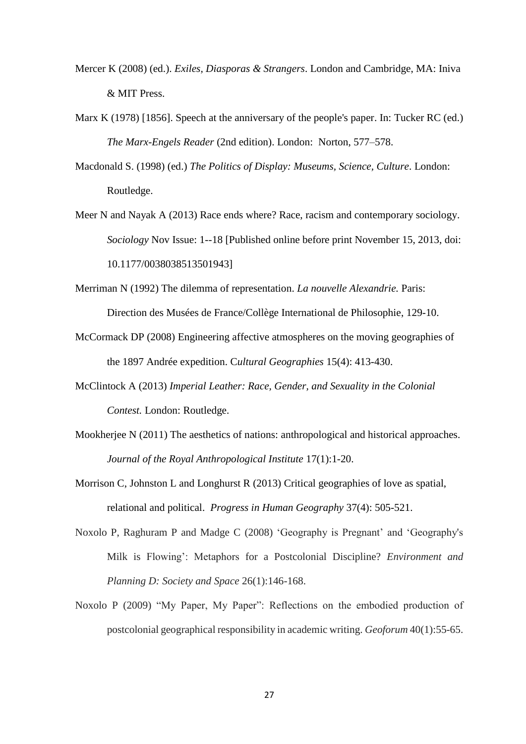- Mercer K (2008) (ed.). *Exiles, Diasporas & Strangers*. London and Cambridge, MA: Iniva & MIT Press.
- Marx K (1978) [1856]. Speech at the anniversary of the people's paper. In: Tucker RC (ed.) *The Marx-Engels Reader* (2nd edition). London: Norton, 577–578.
- Macdonald S. (1998) (ed.) *The Politics of Display: Museums, Science, Culture*. London: Routledge.
- Meer N and Nayak A (2013) Race ends where? Race, racism and contemporary sociology. *Sociology* Nov Issue: 1--18 [Published online before print November 15, 2013, doi: 10.1177/0038038513501943]
- Merriman N (1992) The dilemma of representation. *La nouvelle Alexandrie.* Paris: Direction des Musées de France/Collège International de Philosophie, 129-10.
- McCormack DP (2008) Engineering affective atmospheres on the moving geographies of the 1897 Andrée expedition. C*ultural Geographies* 15(4): 413-430.
- McClintock A (2013) *Imperial Leather: Race, Gender, and Sexuality in the Colonial Contest.* London: Routledge.
- Mookherjee N (2011) The aesthetics of nations: anthropological and historical approaches. *Journal of the Royal Anthropological Institute* 17(1):1-20.
- Morrison C, Johnston L and Longhurst R (2013) Critical geographies of love as spatial, relational and political. *Progress in Human Geography* 37(4): 505-521.
- Noxolo P, Raghuram P and Madge C (2008) 'Geography is Pregnant' and 'Geography's Milk is Flowing': Metaphors for a Postcolonial Discipline? *Environment and Planning D: Society and Space* 26(1):146-168.
- Noxolo P (2009) "My Paper, My Paper": Reflections on the embodied production of postcolonial geographical responsibility in academic writing. *Geoforum* 40(1):55-65.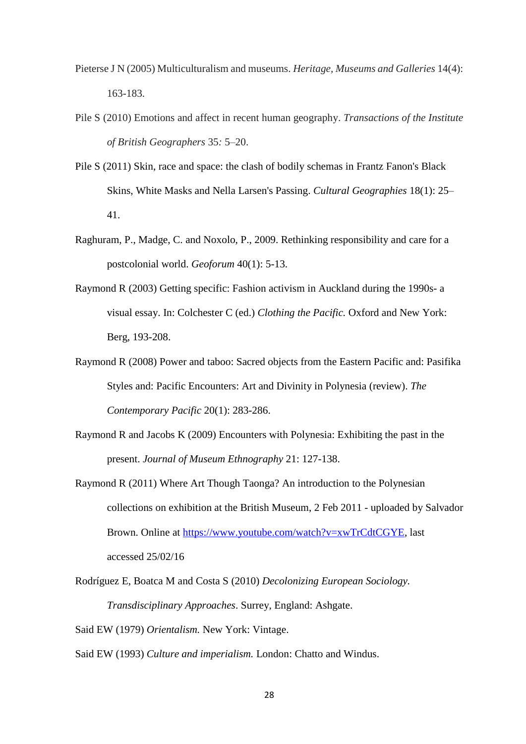- Pieterse J N (2005) Multiculturalism and museums. *Heritage, Museums and Galleries* 14(4): 163-183.
- Pile S (2010) Emotions and affect in recent human geography. *Transactions of the Institute of British Geographers* 35*:* 5–20.
- Pile S (2011) Skin, race and space: the clash of bodily schemas in Frantz Fanon's Black Skins, White Masks and Nella Larsen's Passing. *Cultural Geographies* 18(1): 25– 41.
- Raghuram, P., Madge, C. and Noxolo, P., 2009. Rethinking responsibility and care for a postcolonial world. *Geoforum* 40(1): 5-13.
- Raymond R (2003) Getting specific: Fashion activism in Auckland during the 1990s- a visual essay. In: Colchester C (ed.) *Clothing the Pacific.* Oxford and New York: Berg, 193-208.
- Raymond R (2008) Power and taboo: Sacred objects from the Eastern Pacific and: Pasifika Styles and: Pacific Encounters: Art and Divinity in Polynesia (review). *The Contemporary Pacific* 20(1): 283-286.
- Raymond R and Jacobs K (2009) Encounters with Polynesia: Exhibiting the past in the present. *Journal of Museum Ethnography* 21: 127-138.
- Raymond R (2011) Where Art Though Taonga? An introduction to the Polynesian collections on exhibition at the British Museum, 2 Feb 2011 - uploaded by Salvador Brown. Online at [https://www.youtube.com/watch?v=xwTrCdtCGYE,](https://www.youtube.com/watch?v=xwTrCdtCGYE) last accessed 25/02/16
- Rodríguez E, Boatca M and Costa S (2010) *Decolonizing European Sociology. Transdisciplinary Approaches*. Surrey, England: Ashgate.

Said EW (1979) *Orientalism.* New York: Vintage.

Said EW (1993) *Culture and imperialism.* London: Chatto and Windus.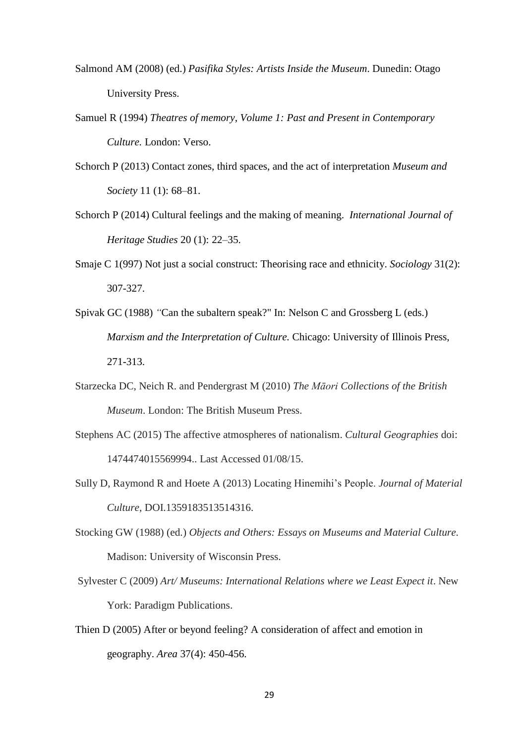- Salmond AM (2008) (ed.) *Pasifika Styles: Artists Inside the Museum*. Dunedin: Otago University Press.
- Samuel R (1994) *Theatres of memory, Volume 1: Past and Present in Contemporary Culture.* London: Verso.
- Schorch P (2013) Contact zones, third spaces, and the act of interpretation *Museum and Society* 11 (1): 68–81.
- Schorch P (2014) Cultural feelings and the making of meaning. *International Journal of Heritage Studies* 20 (1): 22–35.
- Smaje C 1(997) Not just a social construct: Theorising race and ethnicity. *Sociology* 31(2): 307-327.
- Spivak GC (1988) *"*Can the subaltern speak?" In: Nelson C and Grossberg L (eds.) *Marxism and the Interpretation of Culture.* Chicago: University of Illinois Press, 271-313.
- Starzecka DC, Neich R. and Pendergrast M (2010) *The Māori Collections of the British Museum*. London: The British Museum Press.
- Stephens AC (2015) The affective atmospheres of nationalism. *Cultural Geographies* doi: 1474474015569994.. Last Accessed 01/08/15.
- Sully D, Raymond R and Hoete A (2013) Locating Hinemihi's People. *Journal of Material Culture*, DOI.1359183513514316.
- Stocking GW (1988) (ed.) *Objects and Others: Essays on Museums and Material Culture*. Madison: University of Wisconsin Press.
- Sylvester C (2009) *Art/ Museums: International Relations where we Least Expect it*. New York: Paradigm Publications.
- Thien D (2005) After or beyond feeling? A consideration of affect and emotion in geography. *Area* 37(4): 450-456.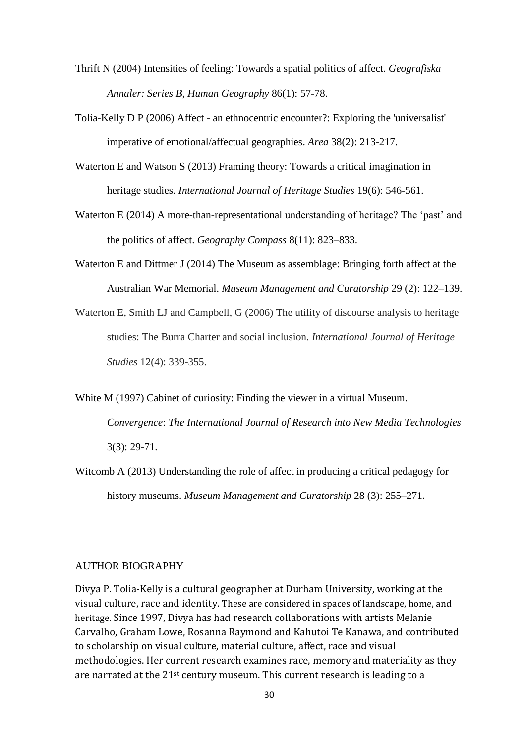- Thrift N (2004) Intensities of feeling: Towards a spatial politics of affect. *Geografiska Annaler: Series B, Human Geography* 86(1): 57-78.
- Tolia-Kelly D P (2006) Affect an ethnocentric encounter?: Exploring the 'universalist' imperative of emotional/affectual geographies. *Area* 38(2): 213-217.
- Waterton E and Watson S (2013) Framing theory: Towards a critical imagination in heritage studies. *International Journal of Heritage Studies* 19(6): 546-561.
- Waterton E (2014) A more-than-representational understanding of heritage? The 'past' and the politics of affect. *Geography Compass* 8(11): 823–833.
- Waterton E and Dittmer J (2014) The Museum as assemblage: Bringing forth affect at the Australian War Memorial. *Museum Management and Curatorship* 29 (2): 122–139.
- Waterton E, Smith LJ and Campbell, G (2006) The utility of discourse analysis to heritage studies: The Burra Charter and social inclusion. *International Journal of Heritage Studies* 12(4): 339-355.
- White M (1997) Cabinet of curiosity: Finding the viewer in a virtual Museum. *Convergence*: *The International Journal of Research into New Media Technologies* 3(3): 29-71.
- Witcomb A (2013) Understanding the role of affect in producing a critical pedagogy for history museums. *Museum Management and Curatorship* 28 (3): 255–271.

# AUTHOR BIOGRAPHY

Divya P. Tolia-Kelly is a cultural geographer at Durham University, working at the visual culture, race and identity. These are considered in spaces of landscape, home, and heritage. Since 1997, Divya has had research collaborations with artists Melanie Carvalho, Graham Lowe, Rosanna Raymond and Kahutoi Te Kanawa, and contributed to scholarship on visual culture, material culture, affect, race and visual methodologies. Her current research examines race, memory and materiality as they are narrated at the 21st century museum. This current research is leading to a